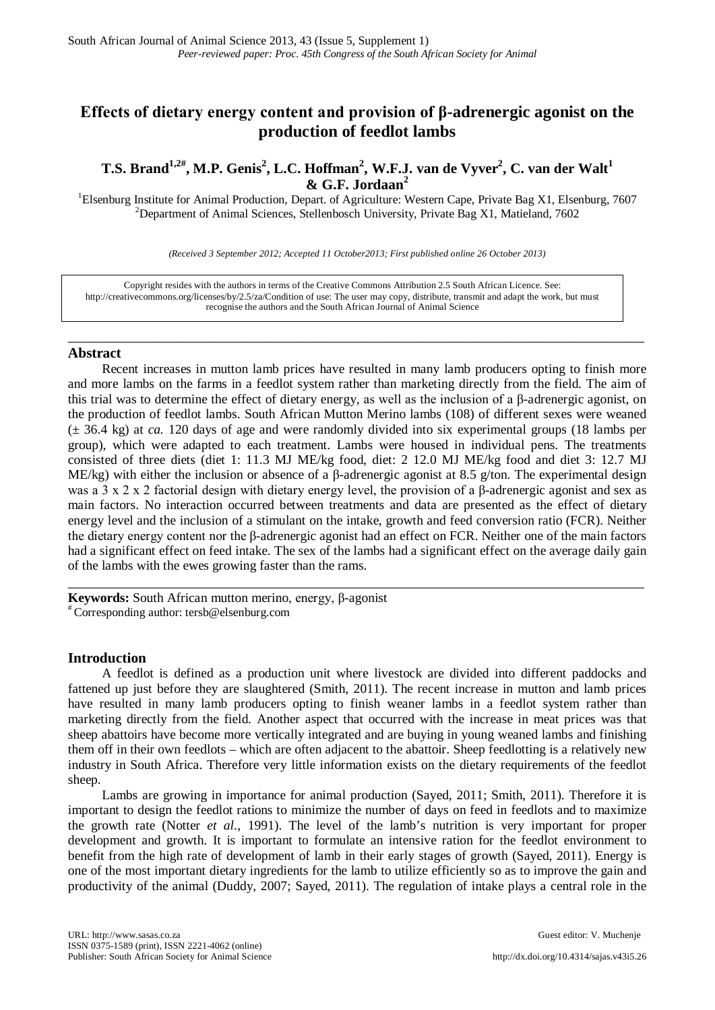# **Effects of dietary energy content and provision of β-adrenergic agonist on the production of feedlot lambs**

**T.S. Brand1,2# , M.P. Genis2 , L.C. Hoffman<sup>2</sup> , W.F.J. van de Vyver2 , C. van der Walt<sup>1</sup> & G.F. Jordaan<sup>2</sup>**

<sup>1</sup>Elsenburg Institute for Animal Production, Depart. of Agriculture: Western Cape, Private Bag X1, Elsenburg, 7607  $\frac{2 \text{Dorentz}}{2}$ <sup>2</sup>Department of Animal Sciences, Stellenbosch University, Private Bag X1, Matieland, 7602

*(Received 3 September 2012; Accepted 11 October2013; First published online 26 October 2013)*

\_\_\_\_\_\_\_\_\_\_\_\_\_\_\_\_\_\_\_\_\_\_\_\_\_\_\_\_\_\_\_\_\_\_\_\_\_\_\_\_\_\_\_\_\_\_\_\_\_\_\_\_\_\_\_\_\_\_\_\_\_\_\_\_\_\_\_\_\_\_\_\_\_\_\_\_\_\_\_\_

Copyright resides with the authors in terms of the Creative Commons Attribution 2.5 South African Licence. See: [http://creativecommons.org/licenses/by/2.5/za/C](http://creativecommons.org/licenses/by/2.5/za/)ondition of use: The user may copy, distribute, transmit and adapt the work, but must recognise the authors and the South African Journal of Animal Science

## **Abstract**

Recent increases in mutton lamb prices have resulted in many lamb producers opting to finish more and more lambs on the farms in a feedlot system rather than marketing directly from the field. The aim of this trial was to determine the effect of dietary energy, as well as the inclusion of a β-adrenergic agonist, on the production of feedlot lambs. South African Mutton Merino lambs (108) of different sexes were weaned (± 36.4 kg) at *ca.* 120 days of age and were randomly divided into six experimental groups (18 lambs per group), which were adapted to each treatment. Lambs were housed in individual pens. The treatments consisted of three diets (diet 1: 11.3 MJ ME/kg food, diet: 2 12.0 MJ ME/kg food and diet 3: 12.7 MJ ME/kg) with either the inclusion or absence of a  $\beta$ -adrenergic agonist at 8.5 g/ton. The experimental design was a 3 x 2 x 2 factorial design with dietary energy level, the provision of a β-adrenergic agonist and sex as main factors. No interaction occurred between treatments and data are presented as the effect of dietary energy level and the inclusion of a stimulant on the intake, growth and feed conversion ratio (FCR). Neither the dietary energy content nor the β-adrenergic agonist had an effect on FCR. Neither one of the main factors had a significant effect on feed intake. The sex of the lambs had a significant effect on the average daily gain of the lambs with the ewes growing faster than the rams.

\_\_\_\_\_\_\_\_\_\_\_\_\_\_\_\_\_\_\_\_\_\_\_\_\_\_\_\_\_\_\_\_\_\_\_\_\_\_\_\_\_\_\_\_\_\_\_\_\_\_\_\_\_\_\_\_\_\_\_\_\_\_\_\_\_\_\_\_\_\_\_\_\_\_\_\_\_\_\_\_

**Keywords:** South African mutton merino, energy, β-agonist # Corresponding author: [tersb@elsenburg.com](mailto:tersb@elsenburg.com)

## **Introduction**

A feedlot is defined as a production unit where livestock are divided into different paddocks and fattened up just before they are slaughtered (Smith, 2011). The recent increase in mutton and lamb prices have resulted in many lamb producers opting to finish weaner lambs in a feedlot system rather than marketing directly from the field. Another aspect that occurred with the increase in meat prices was that sheep abattoirs have become more vertically integrated and are buying in young weaned lambs and finishing them off in their own feedlots – which are often adjacent to the abattoir. Sheep feedlotting is a relatively new industry in South Africa. Therefore very little information exists on the dietary requirements of the feedlot sheep.

Lambs are growing in importance for animal production (Sayed, 2011; Smith, 2011). Therefore it is important to design the feedlot rations to minimize the number of days on feed in feedlots and to maximize the growth rate (Notter *et al*., 1991). The level of the lamb's nutrition is very important for proper development and growth. It is important to formulate an intensive ration for the feedlot environment to benefit from the high rate of development of lamb in their early stages of growth (Sayed, 2011). Energy is one of the most important dietary ingredients for the lamb to utilize efficiently so as to improve the gain and productivity of the animal (Duddy, 2007; Sayed, 2011). The regulation of intake plays a central role in the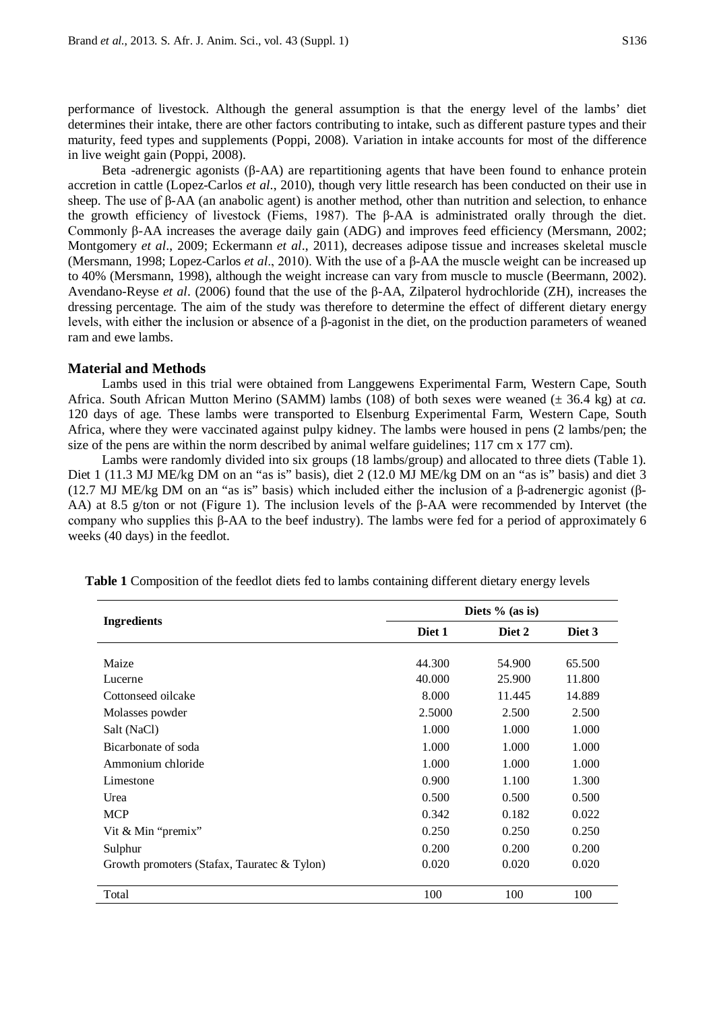performance of livestock. Although the general assumption is that the energy level of the lambs' diet determines their intake, there are other factors contributing to intake, such as different pasture types and their maturity, feed types and supplements (Poppi, 2008). Variation in intake accounts for most of the difference in live weight gain (Poppi, 2008).

Beta -adrenergic agonists (β-AA) are repartitioning agents that have been found to enhance protein accretion in cattle (Lopez-Carlos *et al*., 2010), though very little research has been conducted on their use in sheep. The use of β-AA (an anabolic agent) is another method, other than nutrition and selection, to enhance the growth efficiency of livestock (Fiems, 1987). The β-AA is administrated orally through the diet. Commonly β-AA increases the average daily gain (ADG) and improves feed efficiency (Mersmann, 2002; Montgomery *et al*., 2009; Eckermann *et al*., 2011), decreases adipose tissue and increases skeletal muscle (Mersmann, 1998; Lopez-Carlos *et al*., 2010). With the use of a β-AA the muscle weight can be increased up to 40% (Mersmann, 1998), although the weight increase can vary from muscle to muscle (Beermann, 2002). Avendano-Reyse *et al*. (2006) found that the use of the β-AA, Zilpaterol hydrochloride (ZH), increases the dressing percentage. The aim of the study was therefore to determine the effect of different dietary energy levels, with either the inclusion or absence of a β-agonist in the diet, on the production parameters of weaned ram and ewe lambs.

#### **Material and Methods**

Lambs used in this trial were obtained from Langgewens Experimental Farm, Western Cape, South Africa. South African Mutton Merino (SAMM) lambs (108) of both sexes were weaned (± 36.4 kg) at *ca.* 120 days of age. These lambs were transported to Elsenburg Experimental Farm, Western Cape, South Africa, where they were vaccinated against pulpy kidney. The lambs were housed in pens (2 lambs/pen; the size of the pens are within the norm described by animal welfare guidelines; 117 cm x 177 cm).

Lambs were randomly divided into six groups (18 lambs/group) and allocated to three diets (Table 1). Diet 1 (11.3 MJ ME/kg DM on an "as is" basis), diet 2 (12.0 MJ ME/kg DM on an "as is" basis) and diet 3 (12.7 MJ ME/kg DM on an "as is" basis) which included either the inclusion of a β-adrenergic agonist (β-AA) at 8.5 g/ton or not (Figure 1). The inclusion levels of the β-AA were recommended by Intervet (the company who supplies this β-AA to the beef industry). The lambs were fed for a period of approximately 6 weeks (40 days) in the feedlot.

|                                             | Diets $%$ (as is) |        |        |
|---------------------------------------------|-------------------|--------|--------|
| <b>Ingredients</b>                          | Diet 1            | Diet 2 | Diet 3 |
|                                             |                   |        |        |
| Maize                                       | 44.300            | 54.900 | 65.500 |
| Lucerne                                     | 40.000            | 25.900 | 11.800 |
| Cottonseed oilcake                          | 8.000             | 11.445 | 14.889 |
| Molasses powder                             | 2.5000            | 2.500  | 2.500  |
| Salt (NaCl)                                 | 1.000             | 1.000  | 1.000  |
| Bicarbonate of soda                         | 1.000             | 1.000  | 1.000  |
| Ammonium chloride                           | 1.000             | 1.000  | 1.000  |
| Limestone                                   | 0.900             | 1.100  | 1.300  |
| Urea                                        | 0.500             | 0.500  | 0.500  |
| <b>MCP</b>                                  | 0.342             | 0.182  | 0.022  |
| Vit & Min "premix"                          | 0.250             | 0.250  | 0.250  |
| Sulphur                                     | 0.200             | 0.200  | 0.200  |
| Growth promoters (Stafax, Tauratec & Tylon) | 0.020             | 0.020  | 0.020  |
| Total                                       | 100               | 100    | 100    |

**Table 1** Composition of the feedlot diets fed to lambs containing different dietary energy levels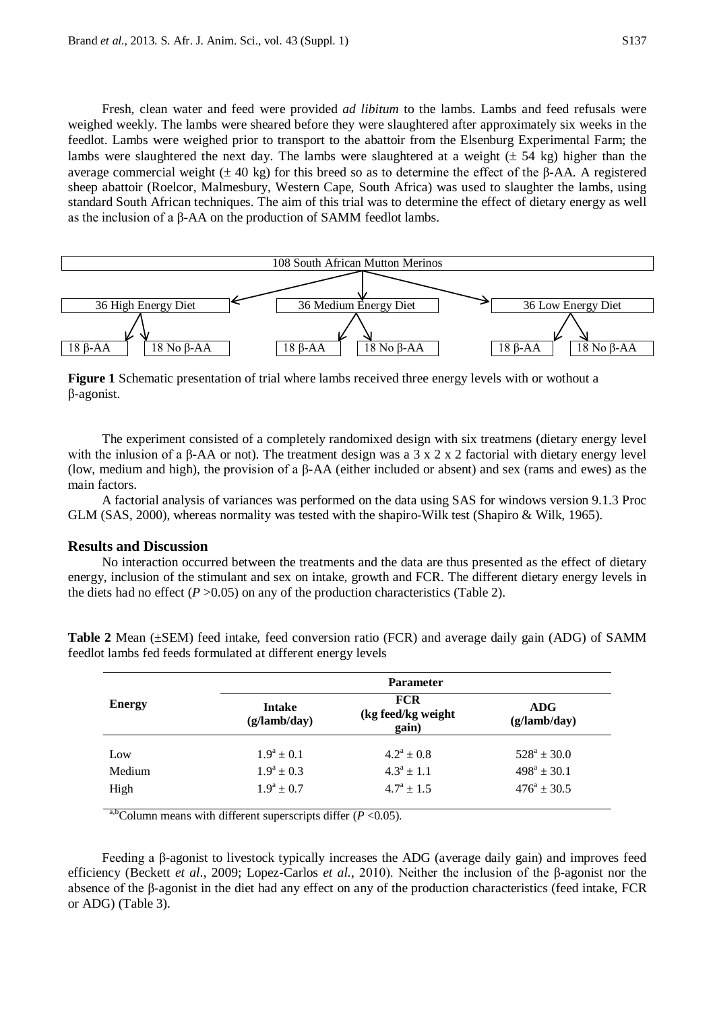Fresh, clean water and feed were provided *ad libitum* to the lambs. Lambs and feed refusals were weighed weekly. The lambs were sheared before they were slaughtered after approximately six weeks in the feedlot. Lambs were weighed prior to transport to the abattoir from the Elsenburg Experimental Farm; the lambs were slaughtered the next day. The lambs were slaughtered at a weight ( $\pm$  54 kg) higher than the average commercial weight ( $±$  40 kg) for this breed so as to determine the effect of the β-AA. A registered sheep abattoir (Roelcor, Malmesbury, Western Cape, South Africa) was used to slaughter the lambs, using standard South African techniques. The aim of this trial was to determine the effect of dietary energy as well as the inclusion of a β-AA on the production of SAMM feedlot lambs.



**Figure 1** Schematic presentation of trial where lambs received three energy levels with or wothout a β-agonist.

The experiment consisted of a completely randomixed design with six treatmens (dietary energy level with the inlusion of a β-AA or not). The treatment design was a 3 x 2 x 2 factorial with dietary energy level (low, medium and high), the provision of a β-AA (either included or absent) and sex (rams and ewes) as the main factors.

A factorial analysis of variances was performed on the data using SAS for windows version 9.1.3 Proc GLM (SAS, 2000), whereas normality was tested with the shapiro-Wilk test (Shapiro & Wilk, 1965).

### **Results and Discussion**

No interaction occurred between the treatments and the data are thus presented as the effect of dietary energy, inclusion of the stimulant and sex on intake, growth and FCR. The different dietary energy levels in the diets had no effect  $(P > 0.05)$  on any of the production characteristics (Table 2).

|               | <b>Parameter</b>              |                                           |                            |  |
|---------------|-------------------------------|-------------------------------------------|----------------------------|--|
| <b>Energy</b> | <b>Intake</b><br>(g/lamb/day) | <b>FCR</b><br>(kg feed/kg weight<br>gain) | <b>ADG</b><br>(g/lamb/day) |  |
| Low           | $1.9^a \pm 0.1$               | $4.2^a \pm 0.8$                           | $528^a \pm 30.0$           |  |
| Medium        | $1.9^a \pm 0.3$               | $4.3^a \pm 1.1$                           | $498^a \pm 30.1$           |  |
| High          | $1.9^a \pm 0.7$               | $4.7^{\rm a} \pm 1.5$                     | $476^{\rm a} \pm 30.5$     |  |

**Table 2** Mean (±SEM) feed intake, feed conversion ratio (FCR) and average daily gain (ADG) of SAMM feedlot lambs fed feeds formulated at different energy levels

a,b<sub>C</sub>olumn means with different superscripts differ ( $P < 0.05$ ).

Feeding a β-agonist to livestock typically increases the ADG (average daily gain) and improves feed efficiency (Beckett *et al*., 2009; Lopez-Carlos *et al.*, 2010). Neither the inclusion of the β-agonist nor the absence of the β-agonist in the diet had any effect on any of the production characteristics (feed intake, FCR or ADG) (Table 3).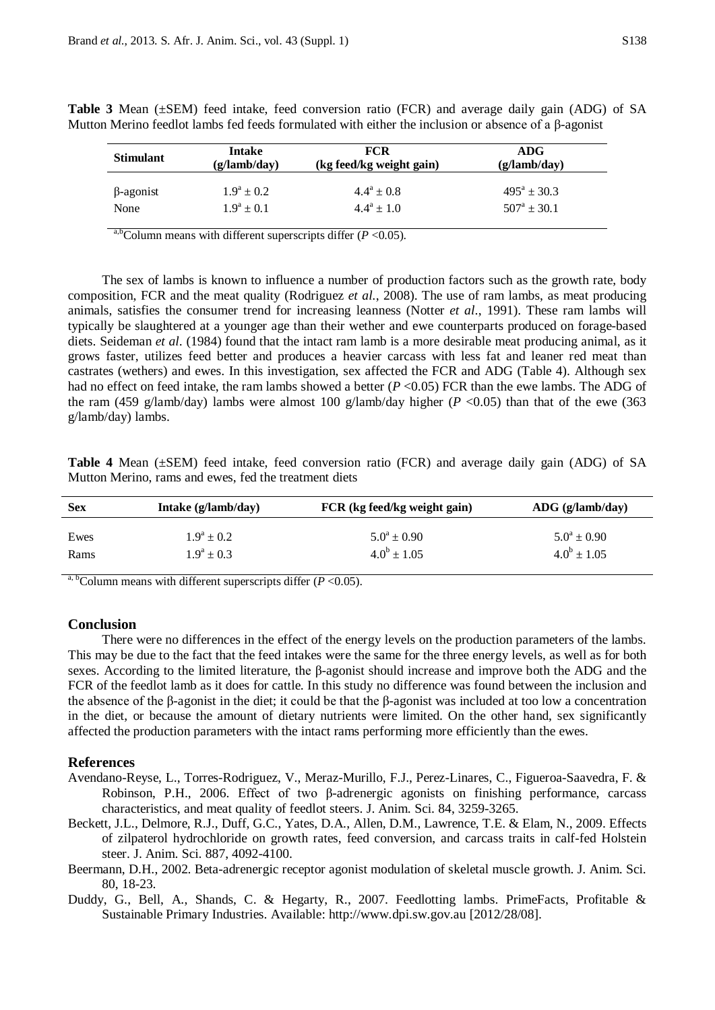| <b>Stimulant</b> | <b>Intake</b><br>(g/lamb/day) | <b>FCR</b><br>(kg feed/kg weight gain) | ADG<br>(g/lamb/dav)    |
|------------------|-------------------------------|----------------------------------------|------------------------|
| $\beta$ -agonist | $1.9^a \pm 0.2$               | $4.4^a \pm 0.8$                        | $495^a \pm 30.3$       |
| None             | $1.9^a \pm 0.1$               | $4.4^a \pm 1.0$                        | $507^{\rm a} \pm 30.1$ |

**Table 3** Mean (±SEM) feed intake, feed conversion ratio (FCR) and average daily gain (ADG) of SA Mutton Merino feedlot lambs fed feeds formulated with either the inclusion or absence of a β-agonist

<sup>a,b</sup>Column means with different superscripts differ  $(P < 0.05)$ .

The sex of lambs is known to influence a number of production factors such as the growth rate, body composition, FCR and the meat quality (Rodriguez *et al.*, 2008). The use of ram lambs, as meat producing animals, satisfies the consumer trend for increasing leanness (Notter *et al*., 1991). These ram lambs will typically be slaughtered at a younger age than their wether and ewe counterparts produced on forage-based diets. Seideman *et al*. (1984) found that the intact ram lamb is a more desirable meat producing animal, as it grows faster, utilizes feed better and produces a heavier carcass with less fat and leaner red meat than castrates (wethers) and ewes. In this investigation, sex affected the FCR and ADG (Table 4). Although sex had no effect on feed intake, the ram lambs showed a better (*P* <0.05) FCR than the ewe lambs. The ADG of the ram (459 g/lamb/day) lambs were almost 100 g/lamb/day higher ( $P < 0.05$ ) than that of the ewe (363) g/lamb/day) lambs.

**Table 4** Mean (±SEM) feed intake, feed conversion ratio (FCR) and average daily gain (ADG) of SA Mutton Merino, rams and ewes, fed the treatment diets

| <b>Sex</b> | Intake $(g/lamb/day)$ | FCR (kg feed/kg weight gain) | $\text{ADC}$ (g/lamb/day) |
|------------|-----------------------|------------------------------|---------------------------|
| Ewes       | $1.9^a \pm 0.2$       | $5.0^a \pm 0.90$             | $5.0^a \pm 0.90$          |
| Rams       | $1.9^a \pm 0.3$       | $4.0^b \pm 1.05$             | $4.0^b \pm 1.05$          |

<sup>a, b</sup>Column means with different superscripts differ ( $P < 0.05$ ).

#### **Conclusion**

There were no differences in the effect of the energy levels on the production parameters of the lambs. This may be due to the fact that the feed intakes were the same for the three energy levels, as well as for both sexes. According to the limited literature, the β-agonist should increase and improve both the ADG and the FCR of the feedlot lamb as it does for cattle. In this study no difference was found between the inclusion and the absence of the β-agonist in the diet; it could be that the β-agonist was included at too low a concentration in the diet, or because the amount of dietary nutrients were limited. On the other hand, sex significantly affected the production parameters with the intact rams performing more efficiently than the ewes.

#### **References**

- Avendano-Reyse, L., Torres-Rodriguez, V., Meraz-Murillo, F.J., Perez-Linares, C., Figueroa-Saavedra, F. & Robinson, P.H., 2006. Effect of two β-adrenergic agonists on finishing performance, carcass characteristics, and meat quality of feedlot steers. J. Anim. Sci. 84, 3259-3265.
- Beckett, J.L., Delmore, R.J., Duff, G.C., Yates, D.A., Allen, D.M., Lawrence, T.E. & Elam, N., 2009. Effects of zilpaterol hydrochloride on growth rates, feed conversion, and carcass traits in calf-fed Holstein steer. J. Anim. Sci. 887, 4092-4100.
- Beermann, D.H., 2002. Beta-adrenergic receptor agonist modulation of skeletal muscle growth. J. Anim. Sci. 80, 18-23.
- Duddy, G., Bell, A., Shands, C. & Hegarty, R., 2007. Feedlotting lambs. PrimeFacts, Profitable & Sustainable Primary Industries. Available: [http://www.dpi.sw.gov.au](http://www.dpi.sw.gov.au/) [2012/28/08].